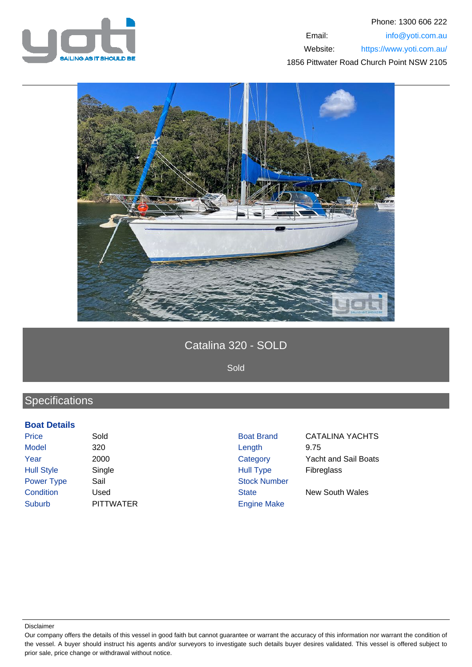



# Catalina 320 - SOLD

Sold

# **Specifications**

#### **Boat Details**

Price Sold Sold Boat Brand CATALINA YACHTS Model 320 Length 9.75 Year 2000 Category Yacht and Sail Boats Hull Style Single Single Single Hull Type Fibreglass Power Type Sail Stock Number **Condition** Used Used State New South Wales Suburb PITTWATER Engine Make

Disclaimer

Our company offers the details of this vessel in good faith but cannot guarantee or warrant the accuracy of this information nor warrant the condition of the vessel. A buyer should instruct his agents and/or surveyors to investigate such details buyer desires validated. This vessel is offered subject to prior sale, price change or withdrawal without notice.